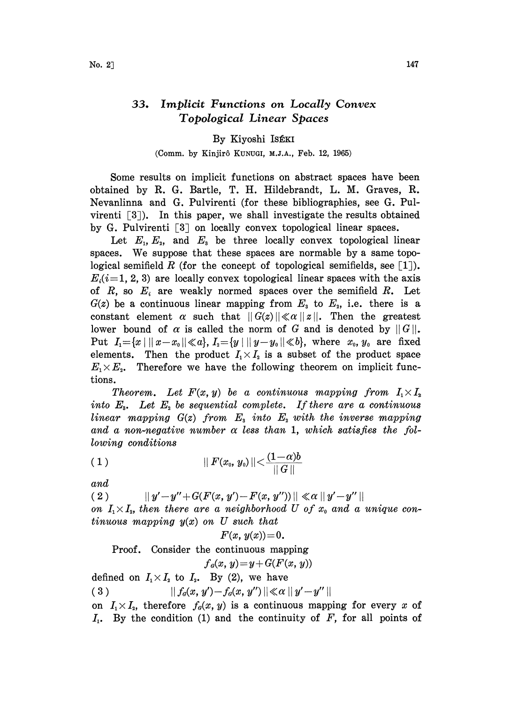## 33. Implicit Functions on Locally Convex Topological Linear Spaces

## By Kiyoshi

## (Comm. by Kinjirô KUNUGI, M.J.A., Feb. 12, 1965)

Some results on implicit functions on abstract spaces have been obtained by R. G. Bartle, T. H. Hildebrandt, L. M. Graves, R. Nevanlinna and G. Pulvirenti (for these bibliographies, see G. Pulvirenti  $\lceil 3 \rceil$ ). In this paper, we shall investigate the results obtained by G. Pulvirenti  $[3]$  on locally convex topological linear spaces.

Let  $E_1, E_2,$  and  $E_3$  be three locally convex topological linear spaces. We suppose that these spaces are normable by a same topological semifield R (for the concept of topological semifields, see  $\lceil 1 \rceil$ ).  $E_i(i=1, 2, 3)$  are locally convex topological linear spaces with the axis of  $R$ , so  $E_i$  are weakly normed spaces over the semifield  $R$ . Let of  $R$ , so  $E_i$  are weakly normed spaces over the semifield  $R$ . I.  $G(z)$  be a continuous linear mapping from  $E_i$  to  $E_2$ , i.e. there is  $G(z)$  be a continuous linear mapping from  $E_s$  to  $E_s$ , i.e. there is a constant element  $\alpha$  such that  $||G(z)|| \ll \alpha ||z||$ . Then the greatest lower bound of  $\alpha$  is called the norm of  $C$  and is denoted by  $||C||$ . lower bound of  $\alpha$  is called the norm of G and is denoted by  $||G||$ . Put  $I_1 = \{x \mid ||x-x_0|| \ll a\}, I_2 = \{y \mid ||y-y_0|| \ll b\},$  where  $x_0, y_0$  are fixed elements. Then the product  $I_1 \times I_2$  is a subset of the product space  $E_1 \times E_2$ . Therefore we have the following theorem on implicit funcelements. Then the product  $I_1 \times I_2$  is a subset of the product space  $E_1 \times E_2$ . Therefore we have the following theorem on implicit functions.

Theorem. Let  $F(x, y)$  be a continuous mapping from  $I_1 \times I_2$ into  $E_{\rm a}$ . Let  $E_{\rm a}$  be sequential complete. If there are a continuous linear mapping  $G(z)$  from  $E<sub>s</sub>$  into  $E<sub>s</sub>$  with the inverse mapping and a non-negative number  $\alpha$  less than 1, which satisfies the following conditions

(1-)b <sup>1</sup> II F(xo, yo)II < 

and

(2)  $||y'-y''+G(F(x, y')-F(x, y''))|| \ll \alpha ||y'-y''||$ on  $I_1 \times I_2$ , then there are a neighborhood U of  $x_0$  and a unique con-

tinuous mapping  $y(x)$  on U such that

 $F(x, y(x)) = 0.$ 

Proof. Consider the continuous mapping

$$
f_a(x, y) = y + G(F(x, y))
$$

defined on  $I_1 \times I_2$  to  $I_3$ . By (2), we have  $|| f_d(x, y') - f_d(x, y'') || \ll \alpha || y' - y'' ||$ (3) on  $I_1 \times I_2$ , therefore  $f_0(x, y)$  is a continuous mapping for every x of  $I_1$ . By the condition (1) and the continuity of F, for all points of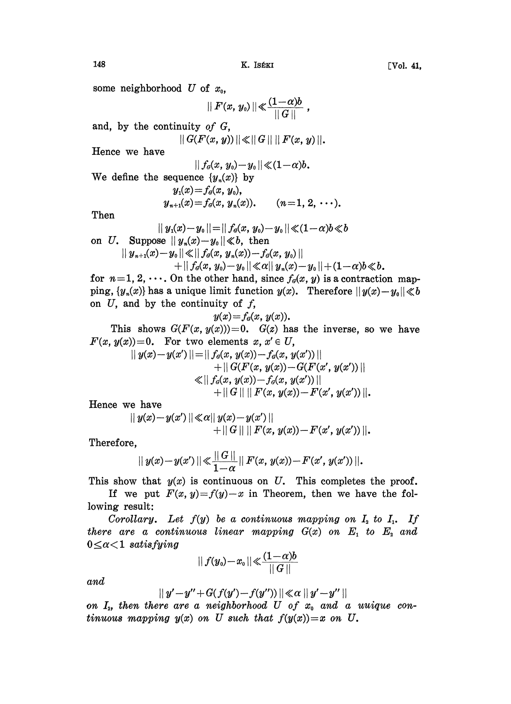some neighborhood U of  $x_0$ ,

$$
|| F(x, y_o)|| \ll \frac{(1-\alpha)b}{||G||},
$$

and, by the continuity of G,

$$
|| G(F(x, y)) || \ll || G || || F(x, y) ||.
$$

Hence we have

$$
|| f_a(x, y_0) - y_0 || \ll (1 - \alpha)b.
$$

We define the sequence  $\{y_n(x)\}\;$  by

$$
y_1(x) = f_d(x, y_0),
$$
  
\n
$$
y_{n+1}(x) = f_d(x, y_n(x)).
$$
  $(n=1, 2, \cdots).$ 

Then

$$
||\text{ }y_{{\scriptscriptstyle 1}}\!(x)\!-\!y_{{\scriptscriptstyle 0}}\!||\!=\!||\text{ }f_{{\scriptscriptstyle 0}}\!(x,\text{ }y_{{\scriptscriptstyle 0}})\!-\!y_{{\scriptscriptstyle 0}}\!||\!\ll\! (1\!-\!\alpha)b\!\ll\!b
$$

on U. Suppose  $||y_n(x)-y_0|| \ll b$ , then

$$
||y_{n+1}(x)-y_0|| \ll ||f_o(x, y_n(x))-f_o(x, y_0)||
$$

 $+ \left\| \left. f_a(x, y_\text{\tiny 0}) \!-\! y_\text{\tiny 0} \right. \right\| \!\ll\! \alpha \!\!\parallel\! y_\text{\tiny n}(x) \!-\! y_\text{\tiny 0} \!\parallel\! \left. + (1 \!-\! \alpha) b \!\ll\! b$  .

for  $n=1, 2, \dots$ . On the other hand, since  $f_q(x, y)$  is a contraction mapping,  $\{y_n(x)\}\$ has a unique limit function  $y(x)$ . Therefore  $||y(x)-y_0|| \ll b$ on  $U$ , and by the continuity of  $f$ ,

$$
y(x)=f_a(x, y(x)).
$$

This shows  $G(F(x, y(x)))=0$ .  $G(z)$  has the inverse, so we have  $F(x, y(x)) = 0$ . For two elements  $x, x' \in U$ ,

$$
|| y(x) - y(x') || = || f_{\theta}(x, y(x)) - f_{\theta}(x, y(x')) || + || G(F(x, y(x)) - G(F(x', y(x')) || \n< || f_{\theta}(x, y(x)) - f_{\theta}(x, y(x')) || + || G || || F(x, y(x)) - F(x', y(x')) ||.
$$

Hence we have

$$
|| y(x)-y(x') || \ll \alpha || y(x)-y(x') ||+ || G || || F(x, y(x))-F(x', y(x')) ||.
$$

Therefore,

$$
|| y(x)-y(x') || \ll \frac{||G||}{1-\alpha} || F(x, y(x))-F(x', y(x')) ||.
$$

This show that  $y(x)$  is continuous on U. This completes the proof.

If we put  $F(x, y)=f(y)-x$  in Theorem, then we have the following result:

Corollary. Let  $f(y)$  be a continuous mapping on  $I<sub>2</sub>$  to  $I<sub>1</sub>$ . If there are a continuous linear mapping  $G(x)$  on  $E_1$  to  $E_2$  and  $0 \leq \alpha < 1$  satisfying

$$
|| f(y_0)\!-\!x_0\,||\!\ll\!\frac{(1\!-\!\alpha)b}{||\,G\,||}
$$

and

$$
|||y'-y''+G(f(y')-f(y''))|| \ll \alpha ||y'-y''||
$$

and<br>  $||y'-y''+G(f(y')-f(y''))|| \ll \alpha ||y'-y''||$ <br>
on I<sub>2</sub>, then there are a neighborhood U of  $x_0$  and a uuique continuous mapping  $y(x)$  on U such that  $f(y(x)) = x$  on U.

$$
148 \t\t\t K. Iséki \t\t\t [Vol. 41,
$$